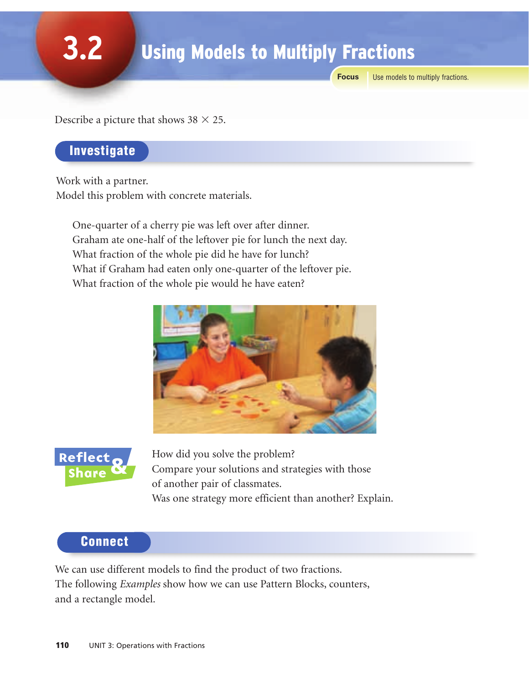**Focus** Use models to multiply fractions.

Describe a picture that shows  $38 \times 25$ .

### Investigate

**3.2**

Work with a partner. Model this problem with concrete materials.

One-quarter of a cherry pie was left over after dinner. Graham ate one-half of the leftover pie for lunch the next day. What fraction of the whole pie did he have for lunch? What if Graham had eaten only one-quarter of the leftover pie. What fraction of the whole pie would he have eaten?





How did you solve the problem? Compare your solutions and strategies with those of another pair of classmates. Was one strategy more efficient than another? Explain.

#### Connect

We can use different models to find the product of two fractions. The following *Examples* show how we can use Pattern Blocks, counters, and a rectangle model.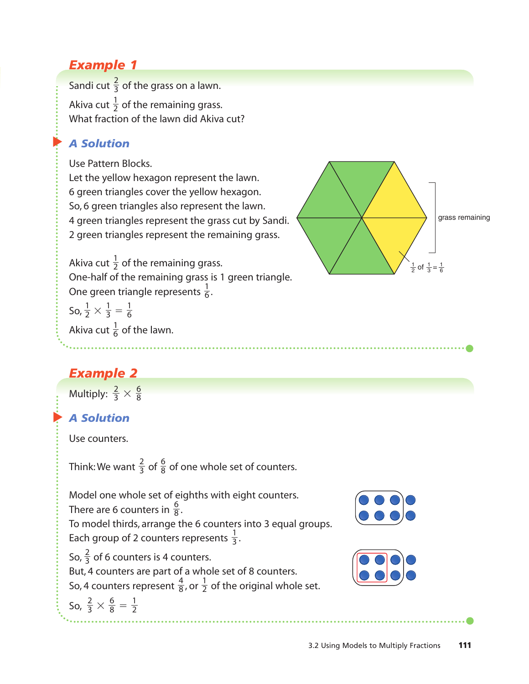# *Example 1*

Sandi cut  $\frac{2}{3}$  of the grass on a lawn. Akiva cut  $\frac{1}{2}$  of the remaining grass. What fraction of the lawn did Akiva cut? 2 3

#### ▲ *A Solution*

Use Pattern Blocks.

Let the yellow hexagon represent the lawn. 6 green triangles cover the yellow hexagon. So, 6 green triangles also represent the lawn. 4 green triangles represent the grass cut by Sandi. 2 green triangles represent the remaining grass.



Akiva cut  $\frac{1}{2}$  of the remaining grass. One-half of the remaining grass is 1 green triangle. 2

One green triangle represents  $\frac{1}{6}$ . 6

So,  $\frac{1}{2} \times \frac{1}{3} = \frac{1}{6}$ 6 1 3 1 2

Akiva cut  $\frac{1}{6}$  of the lawn. 6

# *Example 2*

Multiply:  $\frac{2}{3} \times \frac{6}{8}$ 8 2 3

#### ▲ *A Solution*

Use counters.

Think: We want  $\frac{2}{3}$  of  $\frac{6}{8}$  of one whole set of counters. 8 2 3

Model one whole set of eighths with eight counters. There are 6 counters in  $\frac{6}{8}$ . To model thirds, arrange the 6 counters into 3 equal groups. Each group of 2 counters represents  $\frac{1}{3}$ . 3 8

So,  $\frac{2}{3}$  of 6 counters is 4 counters. But, 4 counters are part of a whole set of 8 counters. So, 4 counters represent  $\frac{4}{8}$ , or  $\frac{1}{2}$  of the original whole set. So,  $\frac{2}{3} \times \frac{6}{8} = \frac{1}{2}$ 6 8 2 3 2 4 8 3



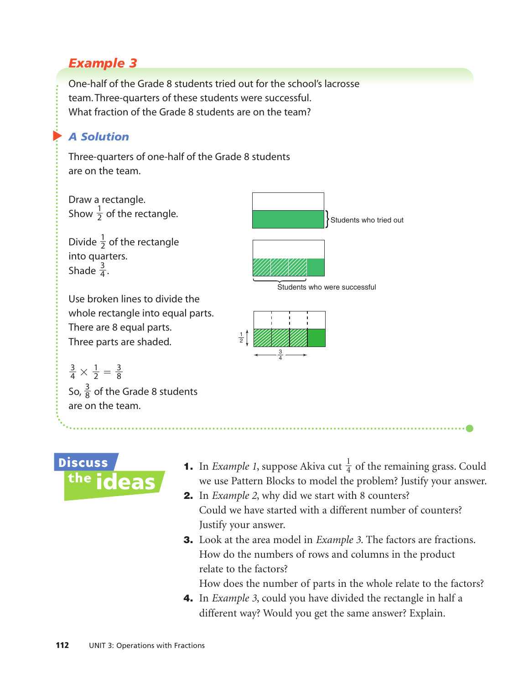## *Example 3*

One-half of the Grade 8 students tried out for the school's lacrosse team. Three-quarters of these students were successful. What fraction of the Grade 8 students are on the team?

## ▲ *A Solution*

Three-quarters of one-half of the Grade 8 students are on the team.

Draw a rectangle. Show  $\frac{1}{2}$  of the rectangle. 2

Divide  $\frac{1}{2}$  of the rectangle into quarters. Shade  $\frac{3}{4}$ . 4 2

Use broken lines to divide the whole rectangle into equal parts. There are 8 equal parts. Three parts are shaded.

 $\times \frac{1}{2} = \frac{3}{8}$ 8 1 2 3 4

So,  $\frac{3}{8}$  of the Grade 8 students are on the team. 8





- **Discuss** the ideas
- **1.** In *Example 1*, suppose Akiva cut  $\frac{1}{4}$  of the remaining grass. Could we use Pattern Blocks to model the problem? Justify your answer. 4
- 2. In *Example 2*, why did we start with 8 counters? Could we have started with a different number of counters? Justify your answer.
- 3. Look at the area model in *Example 3*. The factors are fractions. How do the numbers of rows and columns in the product relate to the factors?

How does the number of parts in the whole relate to the factors?

4. In *Example 3*, could you have divided the rectangle in half a different way? Would you get the same answer? Explain.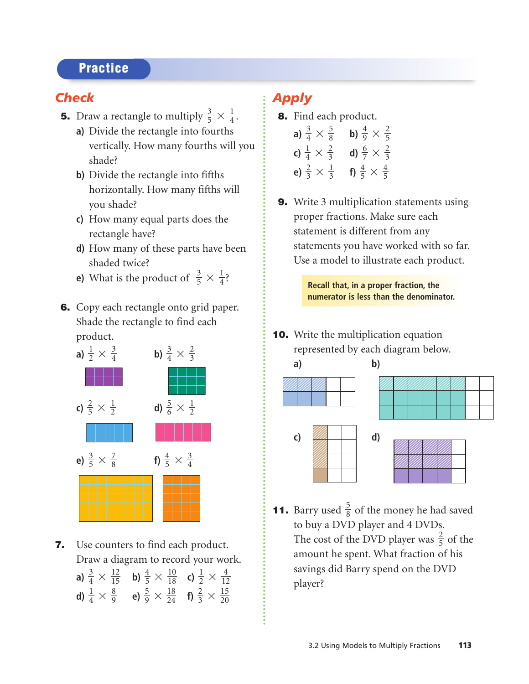### **Practice**

## *Check*

- **5.** Draw a rectangle to multiply  $\frac{3}{5} \times \frac{1}{4}$ .
	- **a)** Divide the rectangle into fourths vertically. How many fourths will you shade?
	- **b)** Divide the rectangle into fifths horizontally. How many fifths will you shade?
	- **c)** How many equal parts does the rectangle have?
	- **d)** How many of these parts have been shaded twice?
	- **e)** What is the product of  $\frac{3}{5} \times \frac{1}{4}$ ?
- 6. Copy each rectangle onto grid paper. Shade the rectangle to find each product.



- **7.** Use counters to find each product. Draw a diagram to record your work.
	- **a)**  $\frac{3}{4} \times \frac{12}{15}$  **b)**  $\frac{4}{5} \times \frac{10}{18}$  **c)**  $\frac{1}{2} \times \frac{4}{12}$ **d)**  $\frac{1}{4} \times \frac{8}{9}$  **e)**  $\frac{5}{9} \times \frac{18}{24}$  **f)**  $\frac{2}{3} \times \frac{15}{20}$

## *Apply*

- 8. Find each product. **a)**  $\frac{3}{4} \times \frac{5}{8}$  **b)**  $\frac{4}{9} \times \frac{2}{5}$ 
	- **c)**  $\frac{1}{4} \times \frac{2}{3}$  **d)**  $\frac{6}{7} \times \frac{2}{3}$ **e)**  $\frac{2}{3} \times \frac{1}{3}$  **f)**  $\frac{4}{5} \times \frac{4}{5}$
- **9.** Write 3 multiplication statements using proper fractions. Make sure each statement is different from any statements you have worked with so far. Use a model to illustrate each product.

**Recall that, in a proper fraction, the numerator is less than the denominator.**

**10.** Write the multiplication equation represented by each diagram below.



**11.** Barry used  $\frac{5}{8}$  of the money he had saved to buy a DVD player and 4 DVDs. The cost of the DVD player was  $\frac{2}{5}$  of the amount he spent. What fraction of his savings did Barry spend on the DVD player?